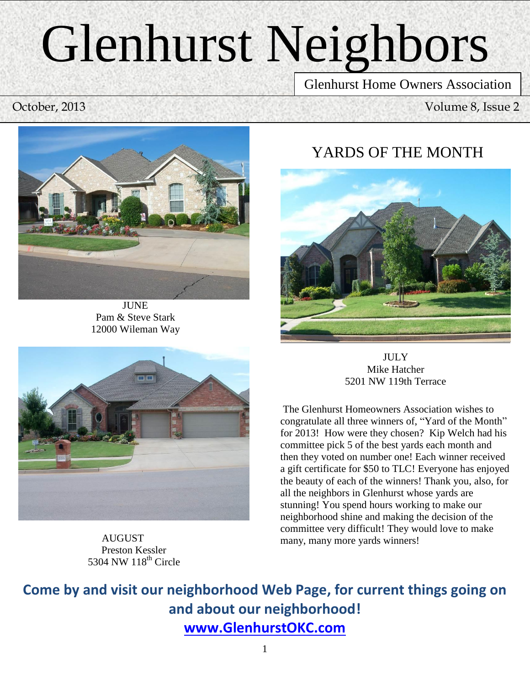# Glenhurst Neighbors

Glenhurst Home Owners Association

October, 2013 Volume 8, Issue 2



**JUNE** Pam & Steve Stark 12000 Wileman Way

# YARDS OF THE MONTH

Newsletter





 AUGUST Preston Kessler 5304 NW 118<sup>th</sup> Circle

**JULY** Mike Hatcher 5201 NW 119th Terrace

The Glenhurst Homeowners Association wishes to congratulate all three winners of, "Yard of the Month" for 2013! How were they chosen? Kip Welch had his committee pick 5 of the best yards each month and then they voted on number one! Each winner received a gift certificate for \$50 to TLC! Everyone has enjoyed the beauty of each of the winners! Thank you, also, for all the neighbors in Glenhurst whose yards are stunning! You spend hours working to make our neighborhood shine and making the decision of the committee very difficult! They would love to make many, many more yards winners!

**Come by and visit our neighborhood Web Page, for current things going on and about our neighborhood! [www.GlenhurstOKC.com](http://www.glenhurstokc.com/)**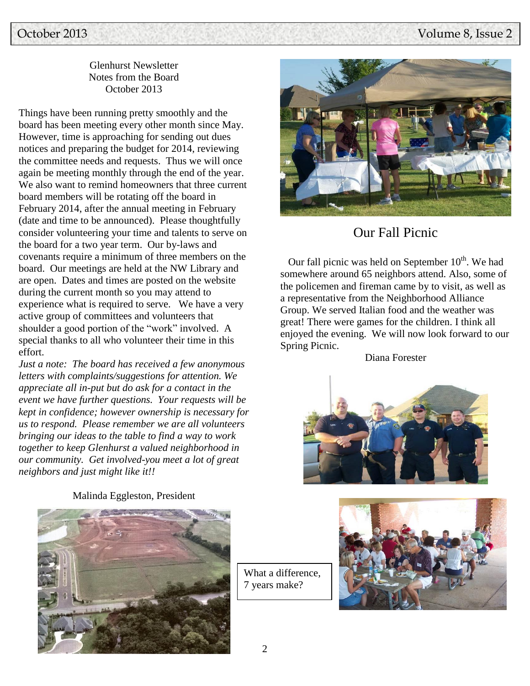# October 2013 Volume 8, Issue 2

#### Glenhurst Newsletter Notes from the Board October 2013

Things have been running pretty smoothly and the board has been meeting every other month since May. However, time is approaching for sending out dues notices and preparing the budget for 2014, reviewing the committee needs and requests. Thus we will once again be meeting monthly through the end of the year. We also want to remind homeowners that three current board members will be rotating off the board in February 2014, after the annual meeting in February (date and time to be announced). Please thoughtfully consider volunteering your time and talents to serve on the board for a two year term. Our by-laws and covenants require a minimum of three members on the board. Our meetings are held at the NW Library and are open. Dates and times are posted on the website during the current month so you may attend to experience what is required to serve. We have a very active group of committees and volunteers that shoulder a good portion of the "work" involved. A special thanks to all who volunteer their time in this effort.

*Just a note: The board has received a few anonymous letters with complaints/suggestions for attention. We appreciate all in-put but do ask for a contact in the event we have further questions. Your requests will be kept in confidence; however ownership is necessary for us to respond. Please remember we are all volunteers bringing our ideas to the table to find a way to work together to keep Glenhurst a valued neighborhood in our community. Get involved-you meet a lot of great neighbors and just might like it!!*



# Our Fall Picnic

Our fall picnic was held on September  $10<sup>th</sup>$ . We had somewhere around 65 neighbors attend. Also, some of the policemen and fireman came by to visit, as well as a representative from the Neighborhood Alliance Group. We served Italian food and the weather was great! There were games for the children. I think all enjoyed the evening. We will now look forward to our Spring Picnic.

Diana Forester





Malinda Eggleston, President

What a difference, 7 years make?

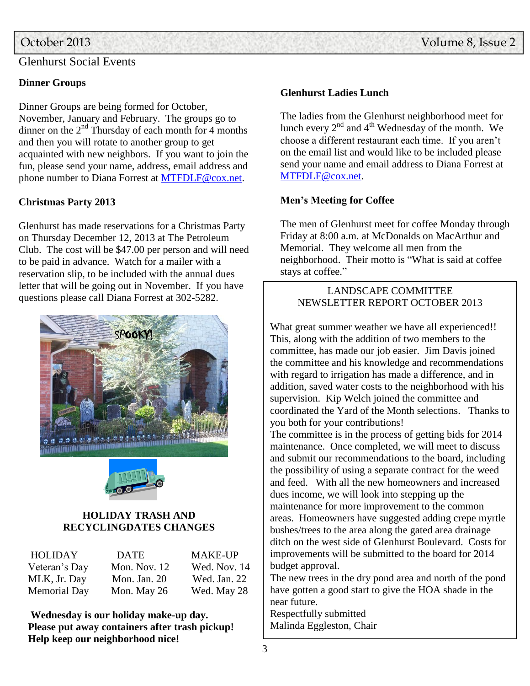## Glenhurst Social Events

### **Dinner Groups**

Dinner Groups are being formed for October, November, January and February. The groups go to dinner on the  $2<sup>nd</sup>$  Thursday of each month for 4 months and then you will rotate to another group to get acquainted with new neighbors. If you want to join the fun, please send your name, address, email address and phone number to Diana Forrest at [MTFDLF@cox.net.](mailto:MTFDLF@cox.net)

#### **Christmas Party 2013**

Glenhurst has made reservations for a Christmas Party on Thursday December 12, 2013 at The Petroleum Club. The cost will be \$47.00 per person and will need to be paid in advance. Watch for a mailer with a reservation slip, to be included with the annual dues letter that will be going out in November. If you have questions please call Diana Forrest at 302-5282.





#### **HOLIDAY TRASH AND RECYCLINGDATES CHANGES**

| HOLIDAY             | <b>DATE</b>    | <b>MAKE-UP</b> |
|---------------------|----------------|----------------|
| Veteran's Day       | Mon. Nov. $12$ | Wed. Nov. 14   |
| MLK, Jr. Day        | Mon. Jan. $20$ | Wed. Jan. 22   |
| <b>Memorial Day</b> | Mon. May 26    | Wed. May 28    |

**Wednesday is our holiday make-up day. Please put away containers after trash pickup! Help keep our neighborhood nice!**

#### **Glenhurst Ladies Lunch**

The ladies from the Glenhurst neighborhood meet for lunch every  $2<sup>nd</sup>$  and  $4<sup>th</sup>$  Wednesday of the month. We choose a different restaurant each time. If you aren't on the email list and would like to be included please send your name and email address to Diana Forrest at [MTFDLF@cox.net.](mailto:MTFDLF@cox.net)

#### **Men's Meeting for Coffee**

The men of Glenhurst meet for coffee Monday through Friday at 8:00 a.m. at McDonalds on MacArthur and Memorial. They welcome all men from the neighborhood. Their motto is "What is said at coffee stays at coffee."

## LANDSCAPE COMMITTEE NEWSLETTER REPORT OCTOBER 2013

What great summer weather we have all experienced!! This, along with the addition of two members to the committee, has made our job easier. Jim Davis joined the committee and his knowledge and recommendations with regard to irrigation has made a difference, and in addition, saved water costs to the neighborhood with his supervision. Kip Welch joined the committee and coordinated the Yard of the Month selections. Thanks to you both for your contributions!

The committee is in the process of getting bids for 2014 maintenance. Once completed, we will meet to discuss and submit our recommendations to the board, including the possibility of using a separate contract for the weed and feed. With all the new homeowners and increased dues income, we will look into stepping up the maintenance for more improvement to the common areas. Homeowners have suggested adding crepe myrtle bushes/trees to the area along the gated area drainage ditch on the west side of Glenhurst Boulevard. Costs for improvements will be submitted to the board for 2014 budget approval.

The new trees in the dry pond area and north of the pond have gotten a good start to give the HOA shade in the near future.

Respectfully submitted Malinda Eggleston, Chair